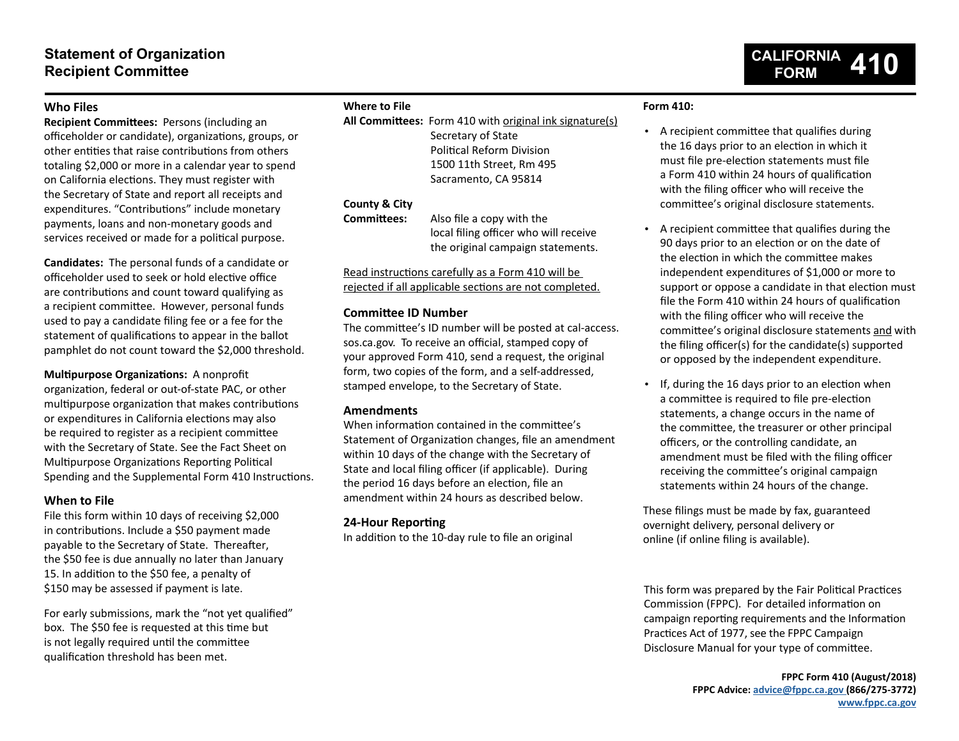# **Statement of Organization Recipient Committee**

# **Who Files**

**Recipient Committees:** Persons (including an officeholder or candidate), organizations, groups, or other entities that raise contributions from others totaling \$2,000 or more in a calendar year to spend on California elections. They must register with the Secretary of State and report all receipts and expenditures. "Contributions" include monetary payments, loans and non-monetary goods and services received or made for a political purpose.

**Candidates:** The personal funds of a candidate or officeholder used to seek or hold elective office are contributions and count toward qualifying as a recipient committee. However, personal funds used to pay a candidate filing fee or a fee for the statement of qualifications to appear in the ballot pamphlet do not count toward the \$2,000 threshold.

# **Multipurpose Organizations:** A nonprofit

organization, federal or out-of-state PAC, or other multipurpose organization that makes contributions or expenditures in California elections may also be required to register as a recipient committee with the Secretary of State. See the Fact Sheet on Multipurpose Organizations Reporting Political Spending and the Supplemental Form 410 Instructions.

# **When to File**

File this form within 10 days of receiving \$2,000 in contributions. Include a \$50 payment made payable to the Secretary of State. Thereafter, the \$50 fee is due annually no later than January 15. In addition to the \$50 fee, a penalty of \$150 may be assessed if payment is late.

For early submissions, mark the "not yet qualified" box. The \$50 fee is requested at this time but is not legally required until the committee qualification threshold has been met.

# **Where to File**

**All Committees:** Form 410 with original ink signature(s) Secretary of State Political Reform Division 1500 11th Street, Rm 495 Sacramento, CA 95814

# **County & City**

**Committees:** Also file a copy with the local filing officer who will receive the original campaign statements.

Read instructions carefully as a Form 410 will be rejected if all applicable sections are not completed.

# **Committee ID Number**

The committee's ID number will be posted at cal-access. sos.ca.gov. To receive an official, stamped copy of your approved Form 410, send a request, the original form, two copies of the form, and a self-addressed, stamped envelope, to the Secretary of State.

# **Amendments**

When information contained in the committee's Statement of Organization changes, file an amendment within 10 days of the change with the Secretary of State and local filing officer (if applicable). During the period 16 days before an election, file an amendment within 24 hours as described below.

# **24-Hour Reporting**

In addition to the 10-day rule to file an original

# **Form 410:**

• A recipient committee that qualifies during the 16 days prior to an election in which it must file pre-election statements must file a Form 410 within 24 hours of qualification with the filing officer who will receive the committee's original disclosure statements.

**CALIFORNIA FORM 410**

- A recipient committee that qualifies during the 90 days prior to an election or on the date of the election in which the committee makes independent expenditures of \$1,000 or more to support or oppose a candidate in that election must file the Form 410 within 24 hours of qualification with the filing officer who will receive the committee's original disclosure statements and with the filing officer(s) for the candidate(s) supported or opposed by the independent expenditure.
- If, during the 16 days prior to an election when a committee is required to file pre-election statements, a change occurs in the name of the committee, the treasurer or other principal officers, or the controlling candidate, an amendment must be filed with the filing officer receiving the committee's original campaign statements within 24 hours of the change.

These filings must be made by fax, guaranteed overnight delivery, personal delivery or online (if online filing is available).

This form was prepared by the Fair Political Practices Commission (FPPC). For detailed information on campaign reporting requirements and the Information Practices Act of 1977, see the FPPC Campaign Disclosure Manual for your type of committee.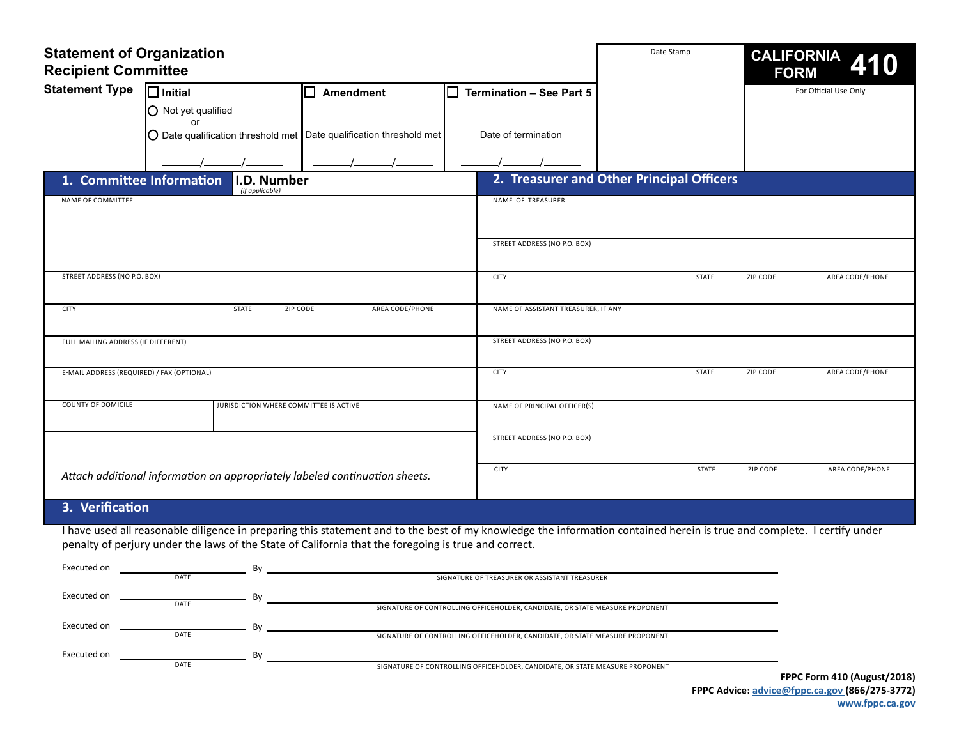| <b>Statement of Organization</b><br><b>Recipient Committee</b> |                                         |                                                                                                                                                                                                                                                                                 |     | Date Stamp                                                                   |                                           | <b>CALIFORNIA</b><br><b>FORM</b> |                       |  |
|----------------------------------------------------------------|-----------------------------------------|---------------------------------------------------------------------------------------------------------------------------------------------------------------------------------------------------------------------------------------------------------------------------------|-----|------------------------------------------------------------------------------|-------------------------------------------|----------------------------------|-----------------------|--|
| <b>Statement Type</b>                                          | $\Box$ Initial                          | Amendment<br>$\blacksquare$                                                                                                                                                                                                                                                     | l 1 | <b>Termination - See Part 5</b>                                              |                                           |                                  | For Official Use Only |  |
|                                                                | O Not yet qualified                     |                                                                                                                                                                                                                                                                                 |     |                                                                              |                                           |                                  |                       |  |
|                                                                | or                                      | $\bigcirc$ Date qualification threshold met Date qualification threshold met                                                                                                                                                                                                    |     | Date of termination                                                          |                                           |                                  |                       |  |
|                                                                |                                         |                                                                                                                                                                                                                                                                                 |     |                                                                              |                                           |                                  |                       |  |
|                                                                | 1. Committee Information<br>I.D. Number |                                                                                                                                                                                                                                                                                 |     |                                                                              | 2. Treasurer and Other Principal Officers |                                  |                       |  |
| NAME OF COMMITTEE                                              | (if applicable)                         |                                                                                                                                                                                                                                                                                 |     | NAME OF TREASURER                                                            |                                           |                                  |                       |  |
|                                                                |                                         |                                                                                                                                                                                                                                                                                 |     |                                                                              |                                           |                                  |                       |  |
|                                                                |                                         |                                                                                                                                                                                                                                                                                 |     |                                                                              |                                           |                                  |                       |  |
|                                                                |                                         |                                                                                                                                                                                                                                                                                 |     | STREET ADDRESS (NO P.O. BOX)                                                 |                                           |                                  |                       |  |
| STREET ADDRESS (NO P.O. BOX)                                   |                                         |                                                                                                                                                                                                                                                                                 |     | <b>CITY</b>                                                                  | <b>STATE</b>                              | ZIP CODE                         | AREA CODE/PHONE       |  |
| <b>CITY</b>                                                    | <b>STATE</b>                            | AREA CODE/PHONE<br>ZIP CODE                                                                                                                                                                                                                                                     |     | NAME OF ASSISTANT TREASURER, IF ANY                                          |                                           |                                  |                       |  |
| FULL MAILING ADDRESS (IF DIFFERENT)                            |                                         |                                                                                                                                                                                                                                                                                 |     | STREET ADDRESS (NO P.O. BOX)                                                 |                                           |                                  |                       |  |
|                                                                |                                         |                                                                                                                                                                                                                                                                                 |     |                                                                              |                                           |                                  |                       |  |
| E-MAIL ADDRESS (REQUIRED) / FAX (OPTIONAL)                     |                                         |                                                                                                                                                                                                                                                                                 |     | <b>CITY</b>                                                                  | <b>STATE</b>                              | ZIP CODE                         | AREA CODE/PHONE       |  |
| <b>COUNTY OF DOMICILE</b>                                      |                                         | JURISDICTION WHERE COMMITTEE IS ACTIVE                                                                                                                                                                                                                                          |     | NAME OF PRINCIPAL OFFICER(S)                                                 |                                           |                                  |                       |  |
|                                                                |                                         |                                                                                                                                                                                                                                                                                 |     | STREET ADDRESS (NO P.O. BOX)                                                 |                                           |                                  |                       |  |
|                                                                |                                         |                                                                                                                                                                                                                                                                                 |     |                                                                              |                                           |                                  |                       |  |
|                                                                |                                         | Attach additional information on appropriately labeled continuation sheets.                                                                                                                                                                                                     |     | <b>CITY</b>                                                                  | <b>STATE</b>                              | ZIP CODE                         | AREA CODE/PHONE       |  |
| 3. Verification                                                |                                         |                                                                                                                                                                                                                                                                                 |     |                                                                              |                                           |                                  |                       |  |
|                                                                |                                         | I have used all reasonable diligence in preparing this statement and to the best of my knowledge the information contained herein is true and complete. I certify under<br>penalty of perjury under the laws of the State of California that the foregoing is true and correct. |     |                                                                              |                                           |                                  |                       |  |
| Executed on                                                    | By<br>DATE                              |                                                                                                                                                                                                                                                                                 |     | SIGNATURE OF TREASURER OR ASSISTANT TREASURER                                |                                           |                                  |                       |  |
| Executed on                                                    | By<br>DATE                              |                                                                                                                                                                                                                                                                                 |     |                                                                              |                                           |                                  |                       |  |
| Executed on                                                    | Bv                                      |                                                                                                                                                                                                                                                                                 |     | SIGNATURE OF CONTROLLING OFFICEHOLDER, CANDIDATE, OR STATE MEASURE PROPONENT |                                           |                                  |                       |  |

 $By$ 

DATE

Executed on

DATE SIGNATURE OF CONTROLLING OFFICEHOLDER, CANDIDATE, OR STATE MEASURE PROPONENT

SIGNATURE OF CONTROLLING OFFICEHOLDER, CANDIDATE, OR STATE MEASURE PROPONENT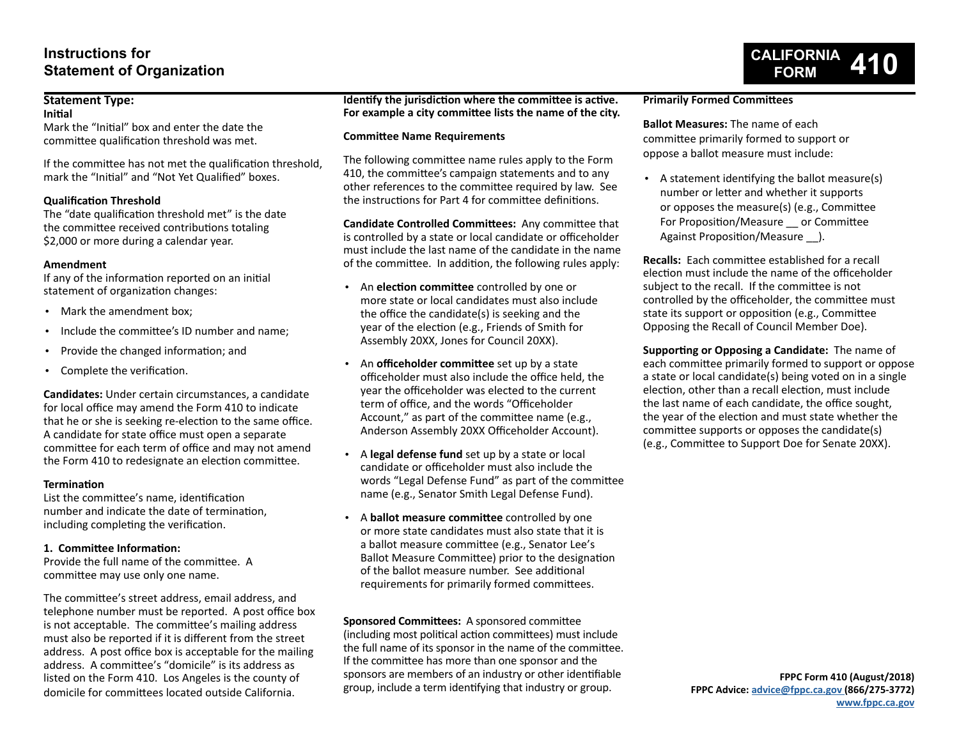# **Instructions for Statement of Organization**

# **Statement Type:**

**Initial**

Mark the "Initial" box and enter the date the committee qualification threshold was met.

If the committee has not met the qualification threshold, mark the "Initial" and "Not Yet Qualified" boxes.

# **Qualification Threshold**

The "date qualification threshold met" is the date the committee received contributions totaling \$2,000 or more during a calendar year.

## **Amendment**

If any of the information reported on an initial statement of organization changes:

- Mark the amendment box;
- Include the committee's ID number and name;
- Provide the changed information; and
- Complete the verification.

**Candidates:** Under certain circumstances, a candidate for local office may amend the Form 410 to indicate that he or she is seeking re-election to the same office. A candidate for state office must open a separate committee for each term of office and may not amend the Form 410 to redesignate an election committee.

# **Termination**

List the committee's name, identification number and indicate the date of termination, including completing the verification.

# **1. Committee Information:**

Provide the full name of the committee. A committee may use only one name.

The committee's street address, email address, and telephone number must be reported. A post office box is not acceptable. The committee's mailing address must also be reported if it is different from the street address. A post office box is acceptable for the mailing address. A committee's "domicile" is its address as listed on the Form 410. Los Angeles is the county of domicile for committees located outside California.

**Identify the jurisdiction where the committee is active. For example a city committee lists the name of the city.**

## **Committee Name Requirements**

The following committee name rules apply to the Form 410, the committee's campaign statements and to any other references to the committee required by law. See the instructions for Part 4 for committee definitions.

**Candidate Controlled Committees:** Any committee that is controlled by a state or local candidate or officeholder must include the last name of the candidate in the name of the committee. In addition, the following rules apply:

- An **election committee** controlled by one or more state or local candidates must also include the office the candidate(s) is seeking and the year of the election (e.g., Friends of Smith for Assembly 20XX, Jones for Council 20XX).
- An **officeholder committee** set up by a state officeholder must also include the office held, the year the officeholder was elected to the current term of office, and the words "Officeholder Account," as part of the committee name (e.g., Anderson Assembly 20XX Officeholder Account).
- A **legal defense fund** set up by a state or local candidate or officeholder must also include the words "Legal Defense Fund" as part of the committee name (e.g., Senator Smith Legal Defense Fund).
- A **ballot measure committee** controlled by one or more state candidates must also state that it is a ballot measure committee (e.g., Senator Lee's Ballot Measure Committee) prior to the designation of the ballot measure number. See additional requirements for primarily formed committees.

**Sponsored Committees:** A sponsored committee (including most political action committees) must include the full name of its sponsor in the name of the committee. If the committee has more than one sponsor and the sponsors are members of an industry or other identifiable group, include a term identifying that industry or group.

## **Primarily Formed Committees**

**Ballot Measures:** The name of each committee primarily formed to support or oppose a ballot measure must include:

• A statement identifying the ballot measure(s) number or letter and whether it supports or opposes the measure(s) (e.g., Committee For Proposition/Measure \_\_ or Committee Against Proposition/Measure ).

**CALIFORNIA FORM 410**

**Recalls:** Each committee established for a recall election must include the name of the officeholder subject to the recall. If the committee is not controlled by the officeholder, the committee must state its support or opposition (e.g., Committee Opposing the Recall of Council Member Doe).

**Supporting or Opposing a Candidate:** The name of each committee primarily formed to support or oppose a state or local candidate(s) being voted on in a single election, other than a recall election, must include the last name of each candidate, the office sought, the year of the election and must state whether the committee supports or opposes the candidate(s) (e.g., Committee to Support Doe for Senate 20XX).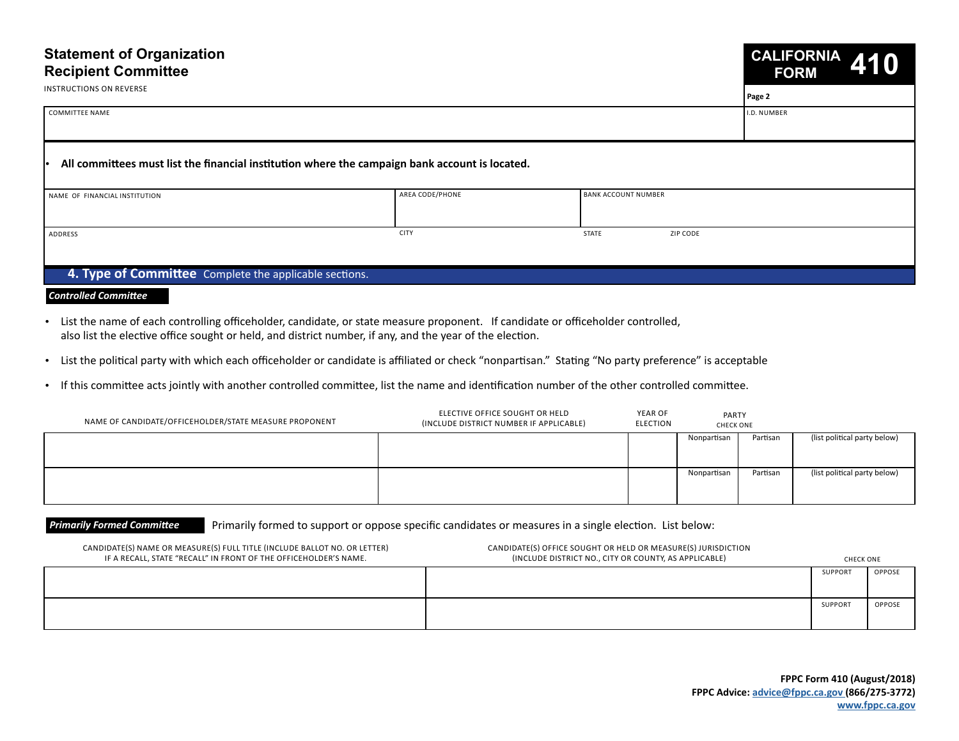# **Statement of Organization Recipient Committee CALIFORNIA FORM 410** COMMITTEE NAME I.D. NUMBER **Page 2** INSTRUCTIONS ON REVERSE NAME OF FINANCIAL INSTITUTION ADDRESS CITY STATE ZIP CODE • **All committees must list the financial institution where the campaign bank account is located.** AREA CODE/PHONE BANK ACCOUNT NUMBER

# **4. Type of Committee** Complete the applicable sections.

#### *Controlled Committee*

- List the name of each controlling officeholder, candidate, or state measure proponent. If candidate or officeholder controlled, also list the elective office sought or held, and district number, if any, and the year of the election.
- List the political party with which each officeholder or candidate is affiliated or check "nonpartisan." Stating "No party preference" is acceptable
- If this committee acts jointly with another controlled committee, list the name and identification number of the other controlled committee.

| NAME OF CANDIDATE/OFFICEHOLDER/STATE MEASURE PROPONENT | ELECTIVE OFFICE SOUGHT OR HELD<br>(INCLUDE DISTRICT NUMBER IF APPLICABLE) | YEAR OF<br>ELECTION | <b>PARTY</b><br><b>CHECK ONE</b> |          |                              |
|--------------------------------------------------------|---------------------------------------------------------------------------|---------------------|----------------------------------|----------|------------------------------|
|                                                        |                                                                           |                     | Nonpartisan                      | Partisan | (list political party below) |
|                                                        |                                                                           |                     | Nonpartisan                      | Partisan | (list political party below) |

#### **Primarily Formed Committee** Primarily formed to support or oppose specific candidates or measures in a single election. List below:

| CANDIDATE(S) NAME OR MEASURE(S) FULL TITLE (INCLUDE BALLOT NO. OR LETTER)<br>IF A RECALL, STATE "RECALL" IN FRONT OF THE OFFICEHOLDER'S NAME. | CANDIDATE(S) OFFICE SOUGHT OR HELD OR MEASURE(S) JURISDICTION<br>(INCLUDE DISTRICT NO., CITY OR COUNTY, AS APPLICABLE) | <b>CHECK ONE</b> |               |
|-----------------------------------------------------------------------------------------------------------------------------------------------|------------------------------------------------------------------------------------------------------------------------|------------------|---------------|
|                                                                                                                                               |                                                                                                                        | <b>SUPPORT</b>   | <b>OPPOSE</b> |
|                                                                                                                                               |                                                                                                                        | <b>SUPPORT</b>   | OPPOSE        |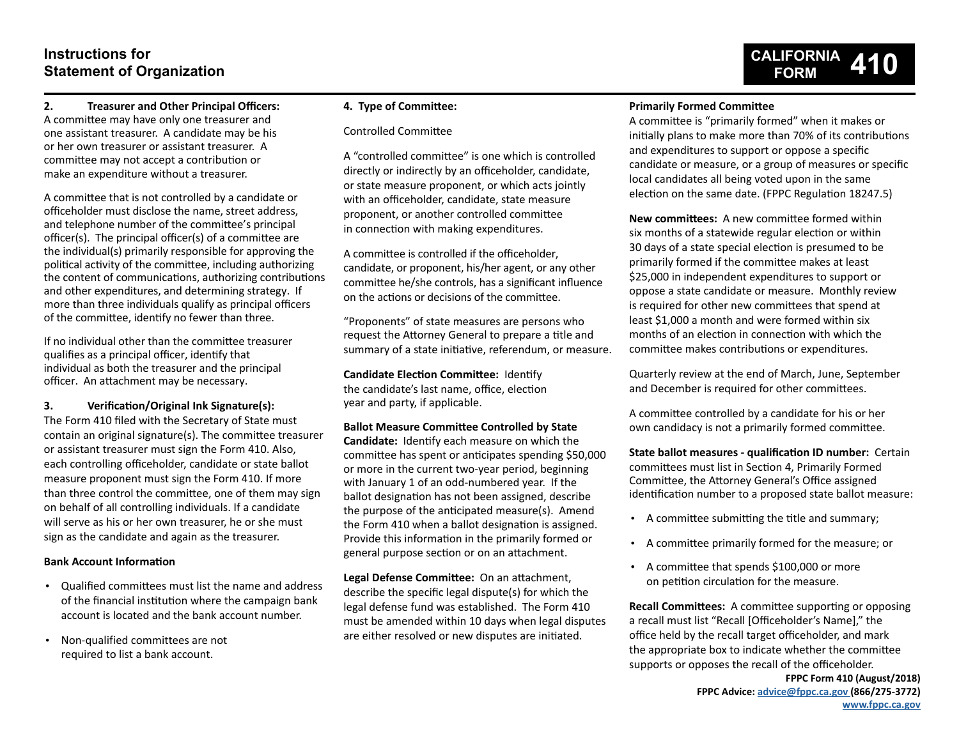# **Instructions for Statement of Organization**

# **CALIFORNIA FORM 410**

#### **2. Treasurer and Other Principal Officers:** A committee may have only one treasurer and one assistant treasurer. A candidate may be his or her own treasurer or assistant treasurer. A committee may not accept a contribution or make an expenditure without a treasurer.

A committee that is not controlled by a candidate or officeholder must disclose the name, street address, and telephone number of the committee's principal officer(s). The principal officer(s) of a committee are the individual(s) primarily responsible for approving the political activity of the committee, including authorizing the content of communications, authorizing contributions and other expenditures, and determining strategy. If more than three individuals qualify as principal officers of the committee, identify no fewer than three.

If no individual other than the committee treasurer qualifies as a principal officer, identify that individual as both the treasurer and the principal officer. An attachment may be necessary.

# **3. Verification/Original Ink Signature(s):**

The Form 410 filed with the Secretary of State must contain an original signature(s). The committee treasurer or assistant treasurer must sign the Form 410. Also, each controlling officeholder, candidate or state ballot measure proponent must sign the Form 410. If more than three control the committee, one of them may sign on behalf of all controlling individuals. If a candidate will serve as his or her own treasurer, he or she must sign as the candidate and again as the treasurer.

#### **Bank Account Information**

- Qualified committees must list the name and address of the financial institution where the campaign bank account is located and the bank account number.
- Non-qualified committees are not required to list a bank account.

#### **4. Type of Committee:**

#### Controlled Committee

A "controlled committee" is one which is controlled directly or indirectly by an officeholder, candidate, or state measure proponent, or which acts jointly with an officeholder, candidate, state measure proponent, or another controlled committee in connection with making expenditures.

A committee is controlled if the officeholder, candidate, or proponent, his/her agent, or any other committee he/she controls, has a significant influence on the actions or decisions of the committee.

"Proponents" of state measures are persons who request the Attorney General to prepare a title and summary of a state initiative, referendum, or measure.

**Candidate Election Committee:** Identify the candidate's last name, office, election year and party, if applicable.

#### **Ballot Measure Committee Controlled by State**

**Candidate:** Identify each measure on which the committee has spent or anticipates spending \$50,000 or more in the current two-year period, beginning with January 1 of an odd-numbered year. If the ballot designation has not been assigned, describe the purpose of the anticipated measure(s). Amend the Form 410 when a ballot designation is assigned. Provide this information in the primarily formed or general purpose section or on an attachment.

**Legal Defense Committee:** On an attachment, describe the specific legal dispute(s) for which the legal defense fund was established. The Form 410 must be amended within 10 days when legal disputes are either resolved or new disputes are initiated.

## **Primarily Formed Committee**

A committee is "primarily formed" when it makes or initially plans to make more than 70% of its contributions and expenditures to support or oppose a specific candidate or measure, or a group of measures or specific local candidates all being voted upon in the same election on the same date. (FPPC Regulation 18247.5)

**New committees:** A new committee formed within six months of a statewide regular election or within 30 days of a state special election is presumed to be primarily formed if the committee makes at least \$25,000 in independent expenditures to support or oppose a state candidate or measure. Monthly review is required for other new committees that spend at least \$1,000 a month and were formed within six months of an election in connection with which the committee makes contributions or expenditures.

Quarterly review at the end of March, June, September and December is required for other committees.

A committee controlled by a candidate for his or her own candidacy is not a primarily formed committee.

**State ballot measures - qualification ID number:** Certain committees must list in Section 4, Primarily Formed Committee, the Attorney General's Office assigned identification number to a proposed state ballot measure:

- A committee submitting the title and summary;
- A committee primarily formed for the measure; or
- A committee that spends \$100,000 or more on petition circulation for the measure.

**Recall Committees:** A committee supporting or opposing a recall must list "Recall [Officeholder's Name]," the office held by the recall target officeholder, and mark the appropriate box to indicate whether the committee supports or opposes the recall of the officeholder.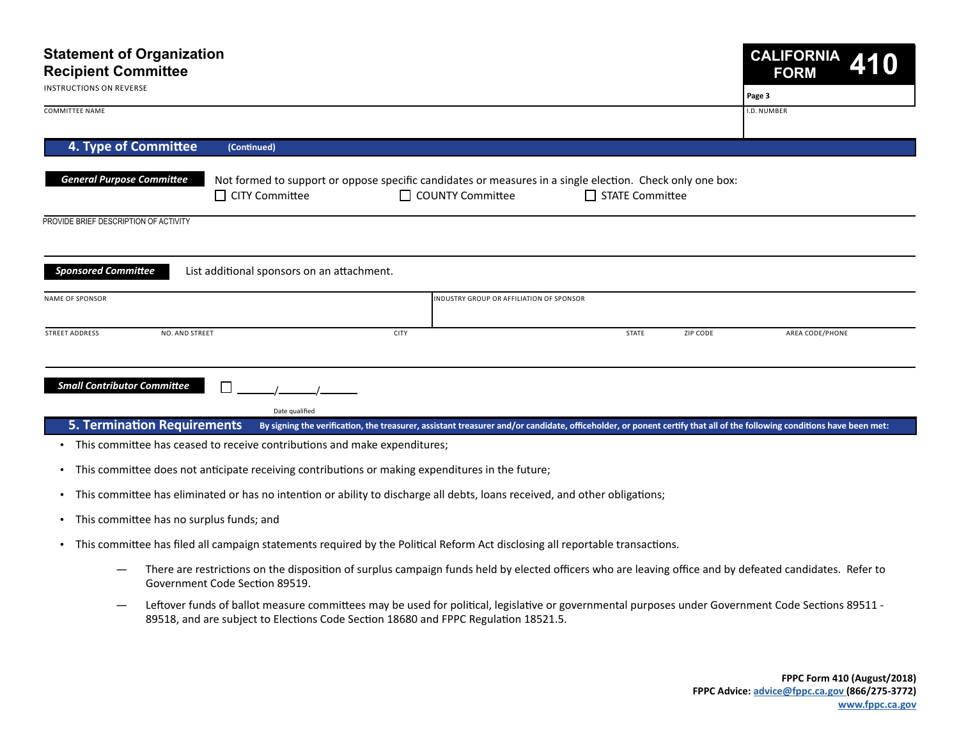| Page 3<br>I.D. NUMBER<br>4. Type of Committee<br>(Continued)<br><b>General Purpose Committee</b><br>Not formed to support or oppose specific candidates or measures in a single election. Check only one box:<br>□ CITY Committee<br>$\Box$ COUNTY Committee<br>$\Box$ STATE Committee<br><b>Sponsored Committee</b><br>List additional sponsors on an attachment.<br>INDUSTRY GROUP OR AFFILIATION OF SPONSOR<br><b>CITY</b><br><b>STATE</b><br>ZIP CODE<br><b>NO. AND STREET</b><br>AREA CODE/PHONE<br><b>Small Contributor Committee</b><br>П<br>Date qualified | <b>Statement of Organization</b><br><b>Recipient Committee</b> |  |  |  |  | <b>CALIFORNIA</b><br><b>FORM</b> |  |  |
|--------------------------------------------------------------------------------------------------------------------------------------------------------------------------------------------------------------------------------------------------------------------------------------------------------------------------------------------------------------------------------------------------------------------------------------------------------------------------------------------------------------------------------------------------------------------|----------------------------------------------------------------|--|--|--|--|----------------------------------|--|--|
| <b>COMMITTEE NAME</b><br><b>STREET ADDRESS</b>                                                                                                                                                                                                                                                                                                                                                                                                                                                                                                                     | <b>INSTRUCTIONS ON REVERSE</b>                                 |  |  |  |  |                                  |  |  |
|                                                                                                                                                                                                                                                                                                                                                                                                                                                                                                                                                                    |                                                                |  |  |  |  |                                  |  |  |
| PROVIDE BRIEF DESCRIPTION OF ACTIVITY<br><b>NAME OF SPONSOR</b>                                                                                                                                                                                                                                                                                                                                                                                                                                                                                                    |                                                                |  |  |  |  |                                  |  |  |
|                                                                                                                                                                                                                                                                                                                                                                                                                                                                                                                                                                    |                                                                |  |  |  |  |                                  |  |  |
|                                                                                                                                                                                                                                                                                                                                                                                                                                                                                                                                                                    |                                                                |  |  |  |  |                                  |  |  |
|                                                                                                                                                                                                                                                                                                                                                                                                                                                                                                                                                                    |                                                                |  |  |  |  |                                  |  |  |
|                                                                                                                                                                                                                                                                                                                                                                                                                                                                                                                                                                    |                                                                |  |  |  |  |                                  |  |  |
|                                                                                                                                                                                                                                                                                                                                                                                                                                                                                                                                                                    |                                                                |  |  |  |  |                                  |  |  |
|                                                                                                                                                                                                                                                                                                                                                                                                                                                                                                                                                                    |                                                                |  |  |  |  |                                  |  |  |
|                                                                                                                                                                                                                                                                                                                                                                                                                                                                                                                                                                    |                                                                |  |  |  |  |                                  |  |  |
|                                                                                                                                                                                                                                                                                                                                                                                                                                                                                                                                                                    |                                                                |  |  |  |  |                                  |  |  |
|                                                                                                                                                                                                                                                                                                                                                                                                                                                                                                                                                                    |                                                                |  |  |  |  |                                  |  |  |

- This committee has ceased to receive contributions and make expenditures;
- This committee does not anticipate receiving contributions or making expenditures in the future;
- This committee has eliminated or has no intention or ability to discharge all debts, loans received, and other obligations;
- This committee has no surplus funds; and
- This committee has filed all campaign statements required by the Political Reform Act disclosing all reportable transactions.
	- There are restrictions on the disposition of surplus campaign funds held by elected officers who are leaving office and by defeated candidates. Refer to Government Code Section 89519.
	- Leftover funds of ballot measure committees may be used for political, legislative or governmental purposes under Government Code Sections 89511 -89518, and are subject to Elections Code Section 18680 and FPPC Regulation 18521.5.